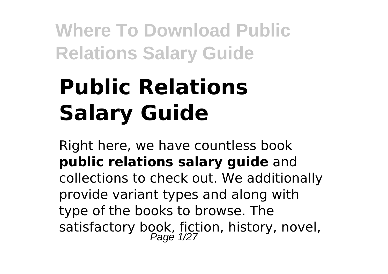# **Public Relations Salary Guide**

Right here, we have countless book **public relations salary guide** and collections to check out. We additionally provide variant types and along with type of the books to browse. The satisfactory book, fiction, history, novel,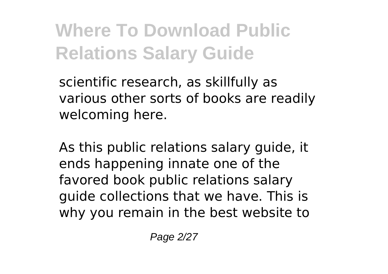scientific research, as skillfully as various other sorts of books are readily welcoming here.

As this public relations salary guide, it ends happening innate one of the favored book public relations salary guide collections that we have. This is why you remain in the best website to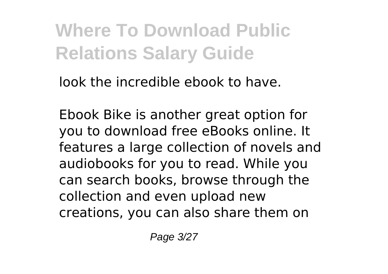look the incredible ebook to have.

Ebook Bike is another great option for you to download free eBooks online. It features a large collection of novels and audiobooks for you to read. While you can search books, browse through the collection and even upload new creations, you can also share them on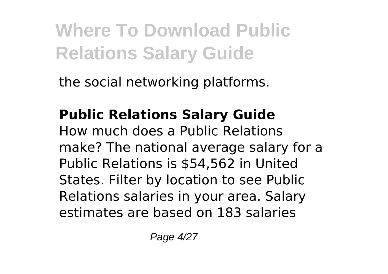the social networking platforms.

#### **Public Relations Salary Guide** How much does a Public Relations make? The national average salary for a Public Relations is \$54,562 in United States. Filter by location to see Public Relations salaries in your area. Salary estimates are based on 183 salaries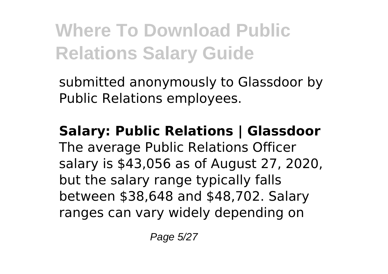submitted anonymously to Glassdoor by Public Relations employees.

# **Salary: Public Relations | Glassdoor**

The average Public Relations Officer salary is \$43,056 as of August 27, 2020, but the salary range typically falls between \$38,648 and \$48,702. Salary ranges can vary widely depending on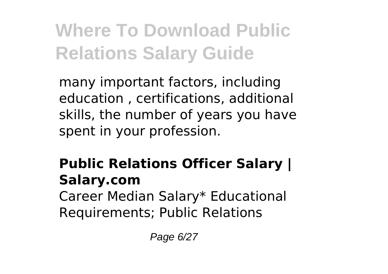many important factors, including education , certifications, additional skills, the number of years you have spent in your profession.

#### **Public Relations Officer Salary | Salary.com** Career Median Salary\* Educational Requirements; Public Relations

Page 6/27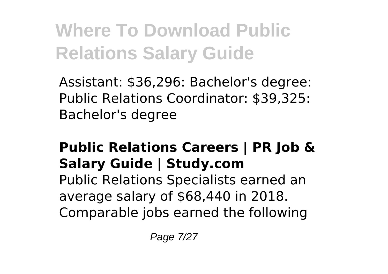Assistant: \$36,296: Bachelor's degree: Public Relations Coordinator: \$39,325: Bachelor's degree

### **Public Relations Careers | PR Job & Salary Guide | Study.com**

Public Relations Specialists earned an average salary of \$68,440 in 2018. Comparable jobs earned the following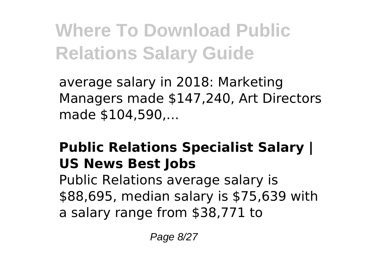average salary in 2018: Marketing Managers made \$147,240, Art Directors made \$104,590,...

### **Public Relations Specialist Salary | US News Best Jobs**

Public Relations average salary is \$88,695, median salary is \$75,639 with a salary range from \$38,771 to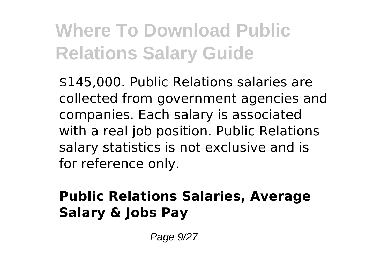\$145,000. Public Relations salaries are collected from government agencies and companies. Each salary is associated with a real job position. Public Relations salary statistics is not exclusive and is for reference only.

#### **Public Relations Salaries, Average Salary & Jobs Pay**

Page 9/27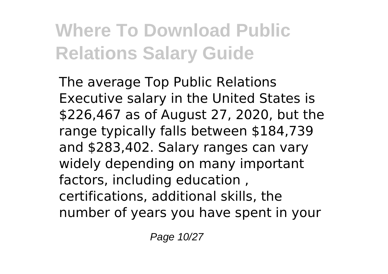The average Top Public Relations Executive salary in the United States is \$226,467 as of August 27, 2020, but the range typically falls between \$184,739 and \$283,402. Salary ranges can vary widely depending on many important factors, including education , certifications, additional skills, the number of years you have spent in your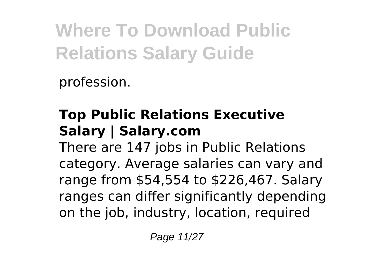profession.

### **Top Public Relations Executive Salary | Salary.com**

There are 147 jobs in Public Relations category. Average salaries can vary and range from \$54,554 to \$226,467. Salary ranges can differ significantly depending on the job, industry, location, required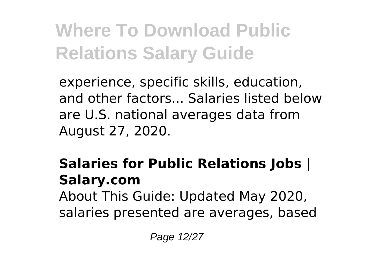experience, specific skills, education, and other factors... Salaries listed below are U.S. national averages data from August 27, 2020.

#### **Salaries for Public Relations Jobs | Salary.com** About This Guide: Updated May 2020, salaries presented are averages, based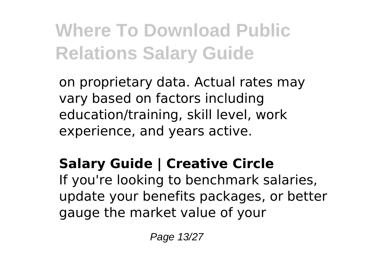on proprietary data. Actual rates may vary based on factors including education/training, skill level, work experience, and years active.

### **Salary Guide | Creative Circle**

If you're looking to benchmark salaries, update your benefits packages, or better gauge the market value of your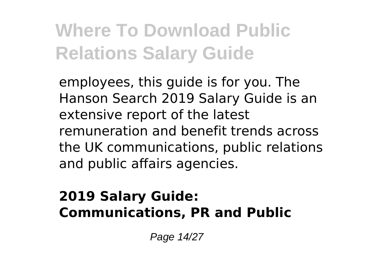employees, this guide is for you. The Hanson Search 2019 Salary Guide is an extensive report of the latest remuneration and benefit trends across the UK communications, public relations and public affairs agencies.

#### **2019 Salary Guide: Communications, PR and Public**

Page 14/27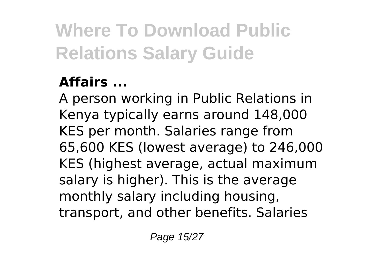### **Affairs ...**

A person working in Public Relations in Kenya typically earns around 148,000 KES per month. Salaries range from 65,600 KES (lowest average) to 246,000 KES (highest average, actual maximum salary is higher). This is the average monthly salary including housing, transport, and other benefits. Salaries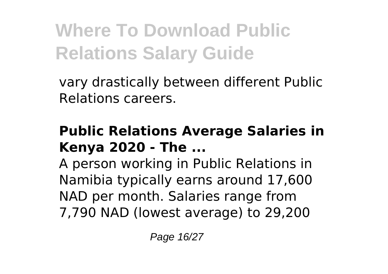vary drastically between different Public Relations careers.

#### **Public Relations Average Salaries in Kenya 2020 - The ...**

A person working in Public Relations in Namibia typically earns around 17,600 NAD per month. Salaries range from 7,790 NAD (lowest average) to 29,200

Page 16/27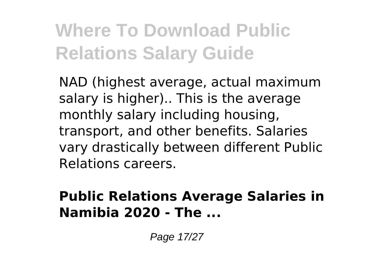NAD (highest average, actual maximum salary is higher).. This is the average monthly salary including housing, transport, and other benefits. Salaries vary drastically between different Public Relations careers.

#### **Public Relations Average Salaries in Namibia 2020 - The ...**

Page 17/27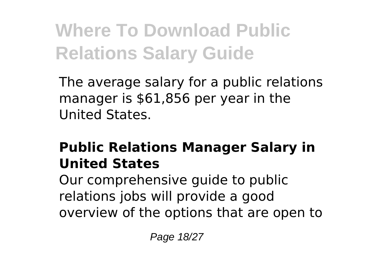The average salary for a public relations manager is \$61,856 per year in the United States.

### **Public Relations Manager Salary in United States**

Our comprehensive guide to public relations jobs will provide a good overview of the options that are open to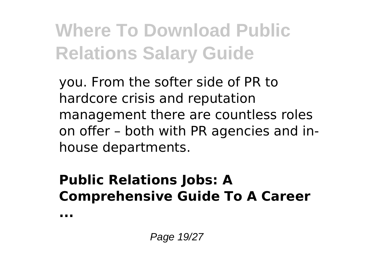you. From the softer side of PR to hardcore crisis and reputation management there are countless roles on offer – both with PR agencies and inhouse departments.

#### **Public Relations Jobs: A Comprehensive Guide To A Career**

**...**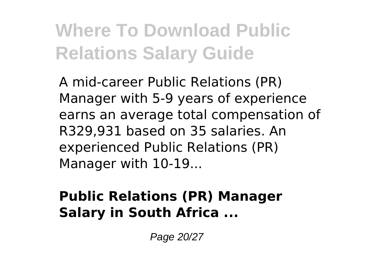A mid-career Public Relations (PR) Manager with 5-9 years of experience earns an average total compensation of R329,931 based on 35 salaries. An experienced Public Relations (PR) Manager with 10-19...

#### **Public Relations (PR) Manager Salary in South Africa ...**

Page 20/27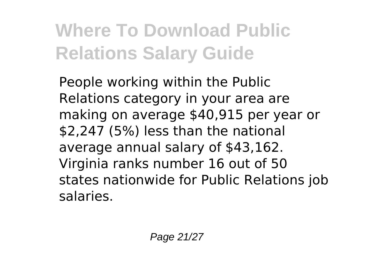People working within the Public Relations category in your area are making on average \$40,915 per year or \$2,247 (5%) less than the national average annual salary of \$43,162. Virginia ranks number 16 out of 50 states nationwide for Public Relations job salaries.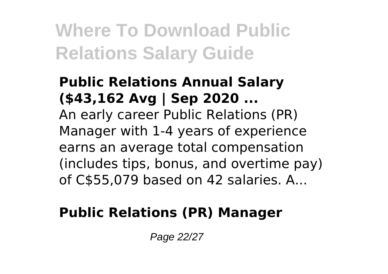#### **Public Relations Annual Salary (\$43,162 Avg | Sep 2020 ...** An early career Public Relations (PR) Manager with 1-4 years of experience earns an average total compensation (includes tips, bonus, and overtime pay) of C\$55,079 based on 42 salaries. A...

#### **Public Relations (PR) Manager**

Page 22/27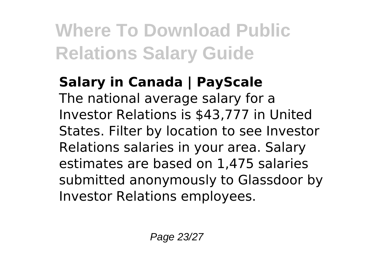#### **Salary in Canada | PayScale** The national average salary for a Investor Relations is \$43,777 in United States. Filter by location to see Investor Relations salaries in your area. Salary estimates are based on 1,475 salaries submitted anonymously to Glassdoor by Investor Relations employees.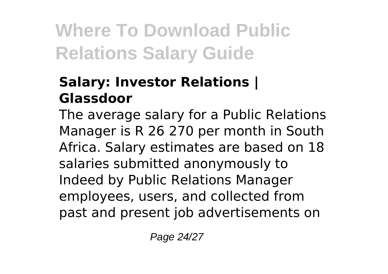#### **Salary: Investor Relations | Glassdoor**

The average salary for a Public Relations Manager is R 26 270 per month in South Africa. Salary estimates are based on 18 salaries submitted anonymously to Indeed by Public Relations Manager employees, users, and collected from past and present job advertisements on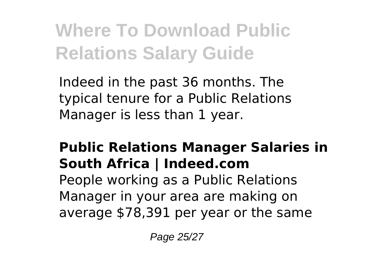Indeed in the past 36 months. The typical tenure for a Public Relations Manager is less than 1 year.

### **Public Relations Manager Salaries in South Africa | Indeed.com**

People working as a Public Relations Manager in your area are making on average \$78,391 per year or the same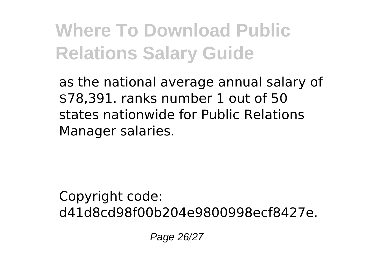as the national average annual salary of \$78,391. ranks number 1 out of 50 states nationwide for Public Relations Manager salaries.

Copyright code: d41d8cd98f00b204e9800998ecf8427e.

Page 26/27